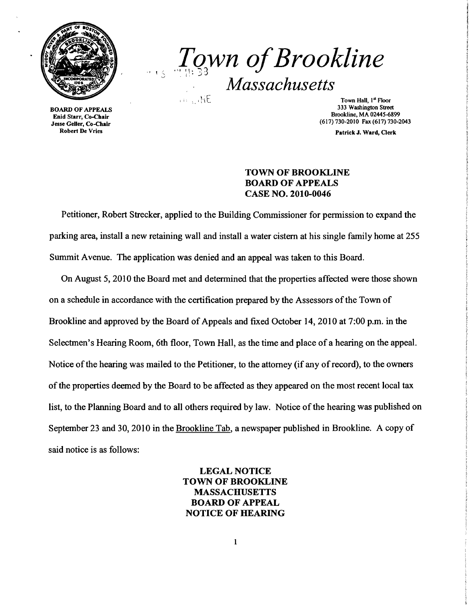

*..{Q3wn ofBrookline*  ., *Massachusetts* 

BOARD OF APPEALS Enid Starr, Co-Chair Jesse Geller, Co-Chair Robert De Vries

Town Hall,  $1<sup>st</sup>$  Floor 333 Washington Street Brookline, MA 02445-6899 (617)730-2010 Fax (617)730-2043

Patrick J. Ward, Clerk

## TOWN OF BROOKLINE BOARD OF APPEALS CASE NO. 2010-0046

Petitioner, Robert Strecker, applied to the Building Commissioner for permission to expand the parking area, install a new retaining wall and install a water cistern at his single family home at 255 Summit Avenue. The application was denied and an appeal was taken to this Board.

On August 5,2010 the Board met and detennined that the properties affected were those shown on a schedule in accordance with the certification prepared by the Assessors of the Town of Brookline and approved by the Board of Appeals and fixed October 14, 2010 at 7:00 p.m. in the Selectmen's Hearing Room, 6th floor, Town Hall, as the time and place of a hearing on the appeal. Notice of the hearing was mailed to the Petitioner, to the attorney (if any of record), to the owners of the properties deemed by the Board to be affected as they appeared on the most recent local tax list, to the Planning Board and to all others required by law. Notice of the hearing was published on September 23 and 30, 2010 in the Brookline Tab, a newspaper published in Brookline. A copy of said notice is as follows:

> LEGAL NOTICE TOWN OF BROOKLINE MASSACHUSETTS BOARD OF APPEAL NOTICE OF HEARING

> > $\mathbf{1}$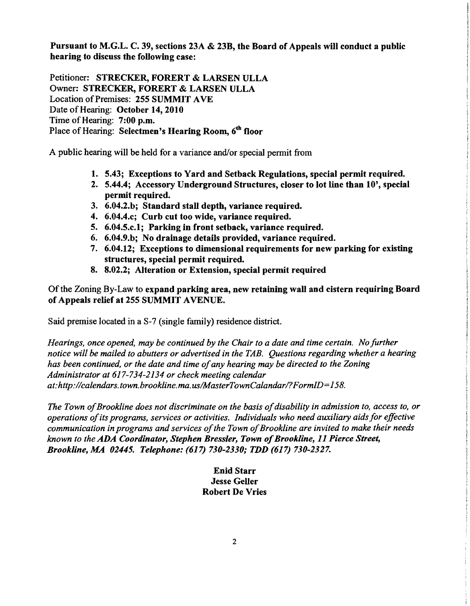Pursuant to M.G.L. C. 39, sections 23A & 23B, the Board of Appeals will conduct a public hearing to discuss the following case:

Petitioner: STRECKER, FORERT & LARSEN ULLA Owner: STRECKER, FORERT & LARSEN ULLA Location of Premises: 255 SUMMIT AVE Date of Hearing: October 14, 2010 Time of Hearing: 7:00 p.m. Place of Hearing: Selectmen's Hearing Room. 6<sup>th</sup> floor

A public hearing will be held for a variance and/or special permit from

- 1. 5.43; Exceptions to Yard and Setback Regulations, special permit required.
- 2. 5.44.4; Accessory Underground Structures, closer to lot line than 10', special permit required.
- 3. 6.04.2.b; Standard stall depth, variance required.
- 4. 6.04.4.c; Curb cut too wide, variance required.
- 5. 6.04.5.c.l; Parking in front setback, variance required.
- 6. 6.04.9.b; No drainage details provided, variance required.
- 7. 6.04.12; Exceptions to dimensional requirements for new parking for existing structures, special permit required.
- 8. 8.02.2; Alteration or Extension, special permit required

Ofthe Zoning By-Law to expand parking area, new retaining wall and cistern requiring Board of Appeals relief at 255 SUMMIT AVENUE.

Said premise located in a S-7 (single family) residence district.

*Hearings, once opened, may be continued by the Chair to a date and time certain. No further notice will be mailed to abutters or advertised in the TAB. Questions regarding whether a hearing has been continued, or the date and time ofany hearing may be directed to the Zoning Administrator at* 617-734-2134 *or check meeting calendar at:http://calendars.town.brookline.ma.us/MasterTownCalandar/?FormID=158.* 

The Town of Brookline does not discriminate on the basis of disability in admission to, access to, or *operations ofits programs, services or activities. Individuals who need auxiliary aids for effective communication in programs and services ofthe Town ofBrookline are invited to make their needs known to the ADA Coordinator, Stephen Bressler, Town of Brookline, 11 Pierce Street, Brookline, MA 02445. Telephone:* (617) *730-2330; TDD* (617) *730-2327.* 

## Enid Starr Jesse Geller Robert De Vries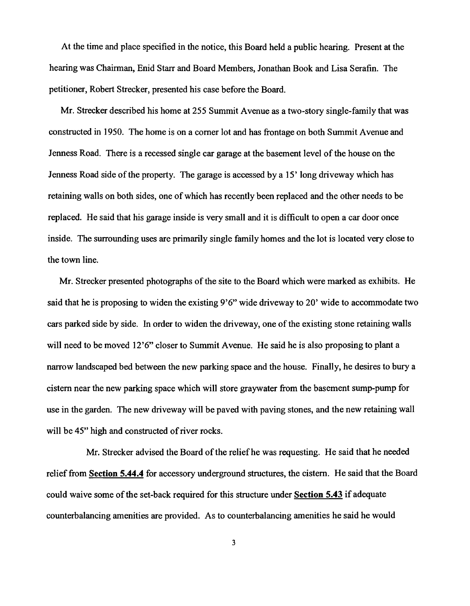At the time and place specified in the notice, this Board held a public hearing. Present at the hearing was Chairman, Enid Starr and Board Members, Jonathan Book and Lisa Serafin. The petitioner, Robert Strecker, presented his case before the Board.

Mr. Strecker described his home at 255 Summit Avenue as a two-story single-family that was constructed in 1950. The home is on a corner lot and has frontage on both Summit Avenue and Jenness Road. There is a recessed single car garage at the basement level of the house on the Jenness Road side of the property. The garage is accessed by a IS' long driveway which has retaining walls on both sides, one of which has recently been replaced and the other needs to be replaced. He said that his garage inside is very small and it is difficult to open a car door once inside. The surrounding uses are primarily single family homes and the lot is located very close to the town line.

Mr. Strecker presented photographs of the site to the Board which were marked as exhibits. He said that he is proposing to widen the existing 9'6" wide driveway to 20' wide to accommodate two cars parked side by side. In order to widen the driveway, one of the existing stone retaining walls will need to be moved 12'6" closer to Summit Avenue. He said he is also proposing to plant a narrow landscaped bed between the new parking space and the house. Finally, he desires to bury a cistern near the new parking space which will store graywater from the basement sump-pump for use in the garden. The new driveway will be paved with paving stones, and the new retaining wall will be 45" high and constructed of river rocks.

Mr. Strecker advised the Board of the relief he was requesting. He said that he needed relief from **Section 5.44.4** for accessory underground structures, the cistern. He said that the Board could waive some ofthe set-back required for this structure under **Section 5.43** if adequate counterbalancing amenities are provided. As to counterbalancing amenities he said he would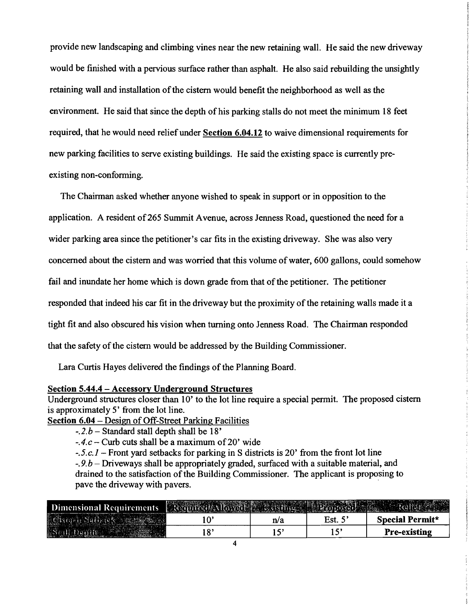provide new landscaping and climbing vines near the new retaining wall. He said the new driveway would be finished with a pervious surface rather than asphalt. He also said rebuilding the unsightly retaining wall and installation of the cistern would benefit the neighborhood as well as the environment. He said that since the depth of his parking stalls do not meet the minimum 18 feet required, that he would need reliefunder Section 6.04.12 to waive dimensional requirements for new parking facilities to serve existing buildings. He said the existing space is currently preexisting non-conforming.

The Chairman asked whether anyone wished to speak in support or in opposition to the application. A resident of265 Summit Avenue, across Jenness Road, questioned the need for a wider parking area since the petitioner's car fits in the existing driveway. She was also very concerned about the cistern and was worried that this volume of water, 600 gallons, could somehow fail and inundate her home which is down grade from that of the petitioner. The petitioner responded that indeed his car fit in the driveway but the proximity of the retaining walls made it a tight fit and also obscured his vision when turning onto Jenness Road. The Chairman responded that the safety of the cistern would be addressed by the Building Commissioner.

Lara Curtis Hayes delivered the findings of the Planning Board.

## Section 5.44.4 - Accessory Underground Structures

Underground structures closer than 10' to the lot line require a special permit. The proposed cistern is approximately 5' from the lot line.

Section 6.04 - Design of Off-Street Parking Facilities

 $-4.c$  – Curb cuts shall be a maximum of 20' wide

*-.5.e.l* - Front yard setbacks for parking in S districts is 20' from the front lot line

*-.9.b* - Driveways shall be appropriately graded, surfaced with a suitable material, and drained to the satisfaction of the Building Commissioner. The applicant is proposing to pave the driveway with pavers.

| Dimensional Requirements <b>Executive Moved Property</b> |           |     |      |                     |
|----------------------------------------------------------|-----------|-----|------|---------------------|
| Left                                                     |           | n/a | Est. | Special Permit*     |
|                                                          | $\bullet$ |     |      | <b>Pre-existing</b> |

*<sup>-.2.</sup>b* - Standard stall depth shall be 18'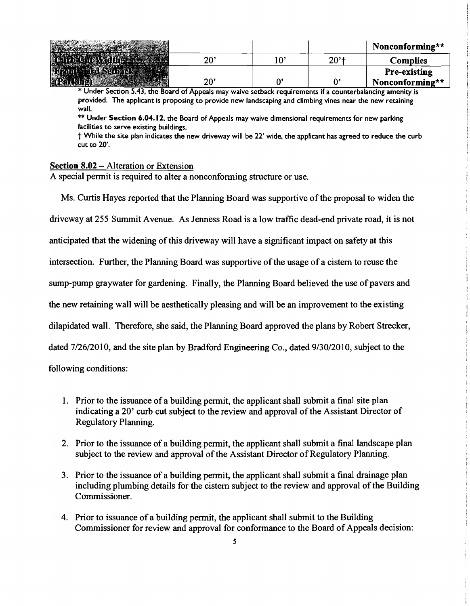|              |              |                    | Nonconforming**     |
|--------------|--------------|--------------------|---------------------|
| 20'          | $10^{\circ}$ | $20'$ <sup>+</sup> | <b>Complies</b>     |
|              |              |                    | <b>Pre-existing</b> |
| $20^{\circ}$ |              | Λ,                 | Nonconforming**     |

\* Under Section 5.43. the Board of Appeals may waive setback requirements if a counterbalancing amenity is provided. The applicant is proposing to provide new landscaping and climbing vines near the new retaining wall.

 $\ast\ast$  Under Section 6.04.12, the Board of Appeals may waive dimensional requirements for new parking facilities to serve existing buildings.

t While the site plan indicates the new driveway will be 22' wide, the applicant has agreed to reduce the curb cut to 20'.

## Section 8.02 – Alteration or Extension

A special permit is required to alter a nonconforming structure or use.

Ms. Curtis Hayes reported that the Planning Board was supportive of the proposal to widen the driveway at 255 Summit Avenue. As Jenness Road is a low traffic dead-end private road, it is not

anticipated that the widening of this driveway will have a significant impact on safety at this

intersection. Further, the Planning Board was supportive of the usage of a cistern to reuse the

sump-pump graywater for gardening. Finally, the Planning Board believed the use of pavers and

the new retaining wall will be aesthetically pleasing and will be an improvement to the existing

dilapidated wall. Therefore, she said, the Planning Board approved the plans by Robert Strecker,

dated 7/26/20 I0, and the site plan by Bradford Engineering Co., dated *9/30120* I0, subject to the

following conditions:

- 1. Prior to the issuance of a building permit, the applicant shall submit a final site plan indicating a 20' curb cut subject to the review and approval of the Assistant Director of Regulatory Planning.
- 2. Prior to the issuance of a building permit, the applicant shall submit a final landscape plan subject to the review and approval of the Assistant Director of Regulatory Planning.
- 3. Prior to the issuance of a building permit, the applicant shall submit a final drainage plan including plumbing details for the cistern subject to the review and approval of the Building Commissioner.
- 4. Prior to issuance of a building permit, the applicant shall submit to the Building Commissioner for review and approval for conformance to the Board of Appeals decision: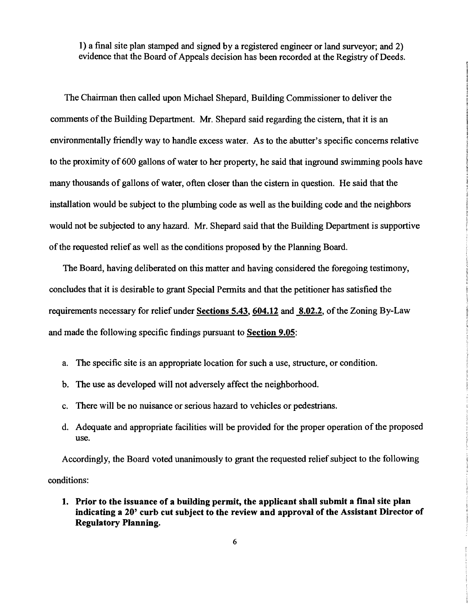I) a final site plan stamped and signed by a registered engineer or land surveyor; and 2) evidence that the Board of Appeals decision has been recorded at the Registry of Deeds.

The Chairman then called upon Michael Shepard, Building Commissioner to deliver the comments of the Building Department. Mr. Shepard said regarding the cistern, that it is an environmentally friendly way to handle excess water. As to the abutter's specific concerns relative to the proximity of 600 gallons of water to her property, he said that inground swimming pools have many thousands of gallons of water, often closer than the cistern in question. He said that the installation would be subject to the plumbing code as well as the building code and the neighbors would not be subjected to any hazard. Mr. Shepard said that the Building Department is supportive of the requested relief as well as the conditions proposed by the Planning Board.

The Board, having deliberated on this matter and having considered the foregoing testimony, concludes that it is desirable to grant Special Permits and that the petitioner has satisfied the requirements necessary for relief under Sections 5.43, 604.12 and 8.02.2, of the Zoning By-Law and made the following specific findings pursuant to Section 9.05:

- a. The specific site is an appropriate location for such a use, structure, or condition.
- b. The use as developed will not adversely affect the neighborhood.
- c. There will be no nuisance or serious hazard to vehicles or pedestrians.
- d. Adequate and appropriate facilities will be provided for the proper operation of the proposed use.

Accordingly, the Board voted unanimously to grant the requested relief subject to the following conditions:

1. Prior to the issuance of a building permit, the applicant shall submit a final site plan indicating a 20' curb cut subject to the review and approval of the Assistant Director of Regulatory Planning.